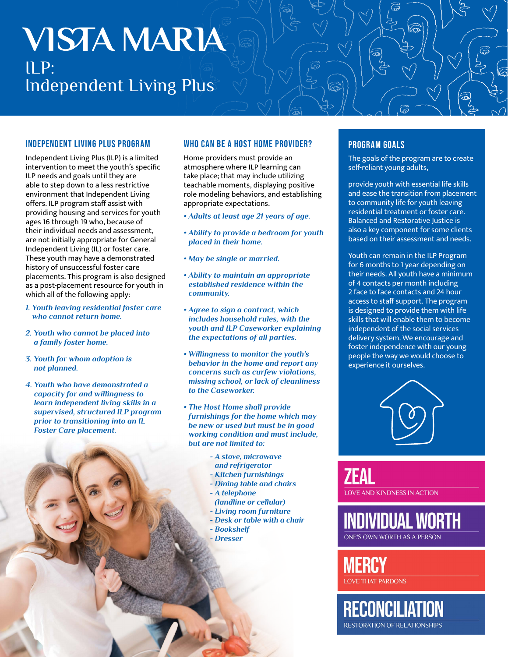# **VISTA MARIA**  $\Pi$  P: Independent Living Plus

### INDEPENDENT LIVING PLUS PROGRAM

Independent Living Plus (ILP) is a limited intervention to meet the youth's specific ILP needs and goals until they are able to step down to a less restrictive environment that Independent Living offers. ILP program staff assist with providing housing and services for youth ages 16 through 19 who, because of their individual needs and assessment, are not initially appropriate for General Independent Living (IL) or foster care. These youth may have a demonstrated history of unsuccessful foster care placements. This program is also designed as a post-placement resource for youth in which all of the following apply:

- *1. Youth leaving residential foster care who cannot return home.*
- *2. Youth who cannot be placed into a family foster home.*
- *3. Youth for whom adoption is not planned.*
- *4. Youth who have demonstrated a capacity for and willingness to learn independent living skills in a supervised, structured ILP program prior to transitioning into an IL Foster Care placement.*

## WHO CAN BE A HOST HOME PROVIDER?

Home providers must provide an atmosphere where ILP learning can take place; that may include utilizing teachable moments, displaying positive role modeling behaviors, and establishing appropriate expectations.

- *Adults at least age 21 years of age.*
- *Ability to provide a bedroom for youth placed in their home.*
- *May be single or married.*
- *Ability to maintain an appropriate established residence within the community.*
- *Agree to sign a contract, which includes household rules, with the youth and ILP Caseworker explaining the expectations of all parties.*
- *Willingness to monitor the youth's behavior in the home and report any concerns such as curfew violations, missing school, or lack of cleanliness to the Caseworker.*
- *The Host Home shall provide furnishings for the home which may be new or used but must be in good working condition and must include, but are not limited to:*
	- *A stove, microwave and refrigerator*
	- *Kitchen furnishings*
	- *Dining table and chairs*
	- *A telephone*
	- *(landline or cellular)*
	- *Living room furniture*
	- *Desk or table with a chair*
	- *Bookshelf - Dresser*
	-

## PROGRAM GOALS

The goals of the program are to create self-reliant young adults,

 $\widehat{\widehat{\bm{\infty}}}$ 

provide youth with essential life skills and ease the transition from placement to community life for youth leaving residential treatment or foster care. Balanced and Restorative Justice is also a key component for some clients based on their assessment and needs.

Youth can remain in the ILP Program for 6 months to 1 year depending on their needs. All youth have a minimum of 4 contacts per month including 2 face to face contacts and 24 hour access to staff support. The program is designed to provide them with life skills that will enable them to become independent of the social services delivery system. We encourage and foster independence with our young people the way we would choose to experience it ourselves.



**ZEAL LOVE AND KINDNESS IN ACTION** 

**INDIVIDUAL WORTH** ONE'S OWN WORTH AS A PERSON

**MERCY LOVE THAT PARDONS** 

**RECONCILIATION RESTORATION OF RELATIONSHIPS**